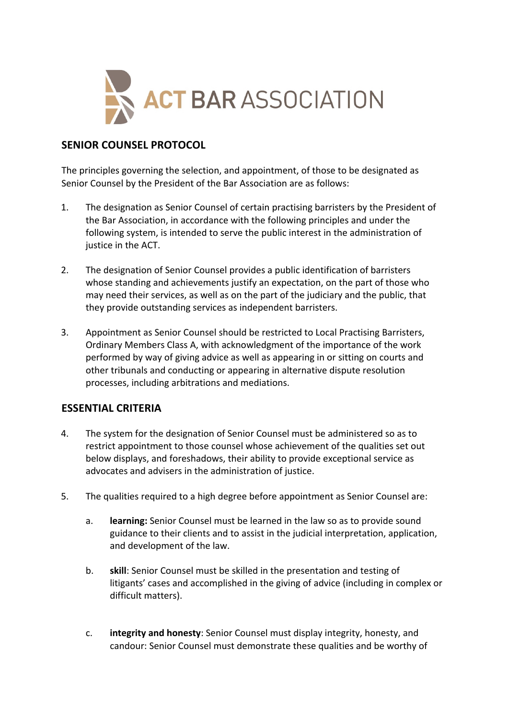

# **SENIOR COUNSEL PROTOCOL**

The principles governing the selection, and appointment, of those to be designated as Senior Counsel by the President of the Bar Association are as follows:

- 1. The designation as Senior Counsel of certain practising barristers by the President of the Bar Association, in accordance with the following principles and under the following system, is intended to serve the public interest in the administration of justice in the ACT.
- 2. The designation of Senior Counsel provides a public identification of barristers whose standing and achievements justify an expectation, on the part of those who may need their services, as well as on the part of the judiciary and the public, that they provide outstanding services as independent barristers.
- 3. Appointment as Senior Counsel should be restricted to Local Practising Barristers, Ordinary Members Class A, with acknowledgment of the importance of the work performed by way of giving advice as well as appearing in or sitting on courts and other tribunals and conducting or appearing in alternative dispute resolution processes, including arbitrations and mediations.

### **ESSENTIAL CRITERIA**

- 4. The system for the designation of Senior Counsel must be administered so as to restrict appointment to those counsel whose achievement of the qualities set out below displays, and foreshadows, their ability to provide exceptional service as advocates and advisers in the administration of justice.
- 5. The qualities required to a high degree before appointment as Senior Counsel are:
	- a. **learning:** Senior Counsel must be learned in the law so as to provide sound guidance to their clients and to assist in the judicial interpretation, application, and development of the law.
	- b. **skill**: Senior Counsel must be skilled in the presentation and testing of litigants' cases and accomplished in the giving of advice (including in complex or difficult matters).
	- c. **integrity and honesty**: Senior Counsel must display integrity, honesty, and candour: Senior Counsel must demonstrate these qualities and be worthy of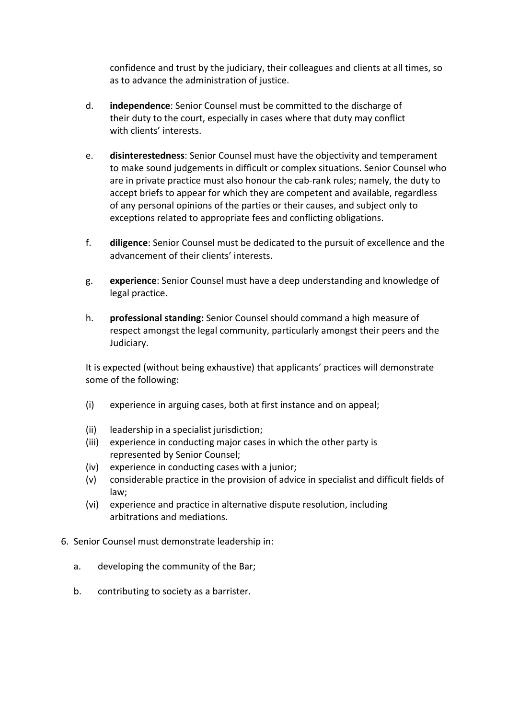confidence and trust by the judiciary, their colleagues and clients at all times, so as to advance the administration of justice.

- d. **independence**: Senior Counsel must be committed to the discharge of their duty to the court, especially in cases where that duty may conflict with clients' interests.
- e. **disinterestedness**: Senior Counsel must have the objectivity and temperament to make sound judgements in difficult or complex situations. Senior Counsel who are in private practice must also honour the cab-rank rules; namely, the duty to accept briefs to appear for which they are competent and available, regardless of any personal opinions of the parties or their causes, and subject only to exceptions related to appropriate fees and conflicting obligations.
- f. **diligence**: Senior Counsel must be dedicated to the pursuit of excellence and the advancement of their clients' interests.
- g. **experience**: Senior Counsel must have a deep understanding and knowledge of legal practice.
- h. **professional standing:** Senior Counsel should command a high measure of respect amongst the legal community, particularly amongst their peers and the Judiciary.

It is expected (without being exhaustive) that applicants' practices will demonstrate some of the following:

- (i) experience in arguing cases, both at first instance and on appeal;
- (ii) leadership in a specialist jurisdiction;
- (iii) experience in conducting major cases in which the other party is represented by Senior Counsel;
- (iv) experience in conducting cases with a junior;
- (v) considerable practice in the provision of advice in specialist and difficult fields of law;
- (vi) experience and practice in alternative dispute resolution, including arbitrations and mediations.
- 6. Senior Counsel must demonstrate leadership in:
	- a. developing the community of the Bar;
	- b. contributing to society as a barrister.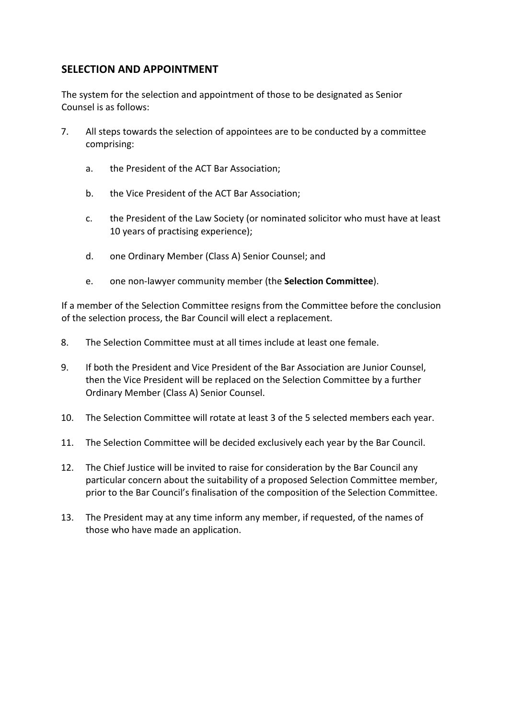### **SELECTION AND APPOINTMENT**

The system for the selection and appointment of those to be designated as Senior Counsel is as follows:

- 7. All steps towards the selection of appointees are to be conducted by a committee comprising:
	- a. the President of the ACT Bar Association;
	- b. the Vice President of the ACT Bar Association;
	- c. the President of the Law Society (or nominated solicitor who must have at least 10 years of practising experience);
	- d. one Ordinary Member (Class A) Senior Counsel; and
	- e. one non-lawyer community member (the **Selection Committee**).

If a member of the Selection Committee resigns from the Committee before the conclusion of the selection process, the Bar Council will elect a replacement.

- 8. The Selection Committee must at all times include at least one female.
- 9. If both the President and Vice President of the Bar Association are Junior Counsel, then the Vice President will be replaced on the Selection Committee by a further Ordinary Member (Class A) Senior Counsel.
- 10. The Selection Committee will rotate at least 3 of the 5 selected members each year.
- 11. The Selection Committee will be decided exclusively each year by the Bar Council.
- 12. The Chief Justice will be invited to raise for consideration by the Bar Council any particular concern about the suitability of a proposed Selection Committee member, prior to the Bar Council's finalisation of the composition of the Selection Committee.
- 13. The President may at any time inform any member, if requested, of the names of those who have made an application.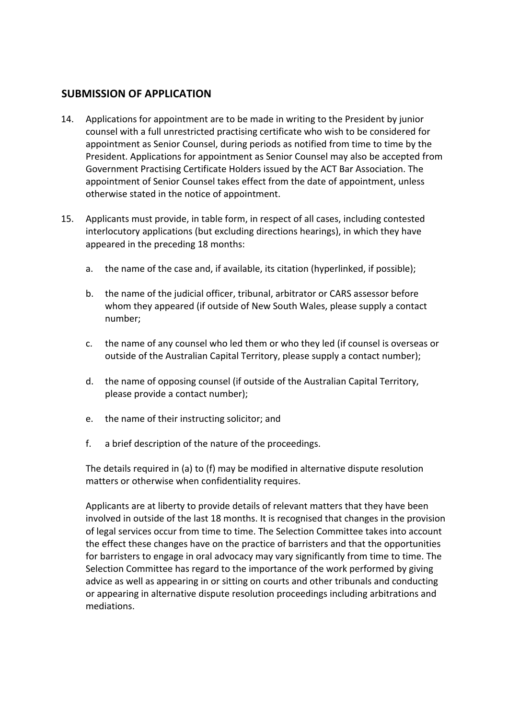#### **SUBMISSION OF APPLICATION**

- 14. Applications for appointment are to be made in writing to the President by junior counsel with a full unrestricted practising certificate who wish to be considered for appointment as Senior Counsel, during periods as notified from time to time by the President. Applications for appointment as Senior Counsel may also be accepted from Government Practising Certificate Holders issued by the ACT Bar Association. The appointment of Senior Counsel takes effect from the date of appointment, unless otherwise stated in the notice of appointment.
- 15. Applicants must provide, in table form, in respect of all cases, including contested interlocutory applications (but excluding directions hearings), in which they have appeared in the preceding 18 months:
	- a. the name of the case and, if available, its citation (hyperlinked, if possible);
	- b. the name of the judicial officer, tribunal, arbitrator or CARS assessor before whom they appeared (if outside of New South Wales, please supply a contact number;
	- c. the name of any counsel who led them or who they led (if counsel is overseas or outside of the Australian Capital Territory, please supply a contact number);
	- d. the name of opposing counsel (if outside of the Australian Capital Territory, please provide a contact number);
	- e. the name of their instructing solicitor; and
	- f. a brief description of the nature of the proceedings.

The details required in (a) to (f) may be modified in alternative dispute resolution matters or otherwise when confidentiality requires.

Applicants are at liberty to provide details of relevant matters that they have been involved in outside of the last 18 months. It is recognised that changes in the provision of legal services occur from time to time. The Selection Committee takes into account the effect these changes have on the practice of barristers and that the opportunities for barristers to engage in oral advocacy may vary significantly from time to time. The Selection Committee has regard to the importance of the work performed by giving advice as well as appearing in or sitting on courts and other tribunals and conducting or appearing in alternative dispute resolution proceedings including arbitrations and mediations.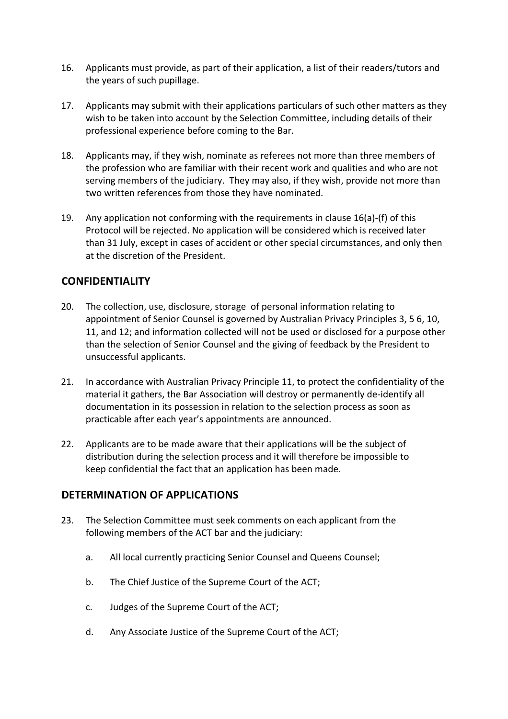- 16. Applicants must provide, as part of their application, a list of their readers/tutors and the years of such pupillage.
- 17. Applicants may submit with their applications particulars of such other matters as they wish to be taken into account by the Selection Committee, including details of their professional experience before coming to the Bar.
- 18. Applicants may, if they wish, nominate as referees not more than three members of the profession who are familiar with their recent work and qualities and who are not serving members of the judiciary. They may also, if they wish, provide not more than two written references from those they have nominated.
- 19. Any application not conforming with the requirements in clause 16(a)-(f) of this Protocol will be rejected. No application will be considered which is received later than 31 July, except in cases of accident or other special circumstances, and only then at the discretion of the President.

# **CONFIDENTIALITY**

- 20. The collection, use, disclosure, storage of personal information relating to appointment of Senior Counsel is governed by Australian Privacy Principles 3, 5 6, 10, 11, and 12; and information collected will not be used or disclosed for a purpose other than the selection of Senior Counsel and the giving of feedback by the President to unsuccessful applicants.
- 21. In accordance with Australian Privacy Principle 11, to protect the confidentiality of the material it gathers, the Bar Association will destroy or permanently de-identify all documentation in its possession in relation to the selection process as soon as practicable after each year's appointments are announced.
- 22. Applicants are to be made aware that their applications will be the subject of distribution during the selection process and it will therefore be impossible to keep confidential the fact that an application has been made.

### **DETERMINATION OF APPLICATIONS**

- 23. The Selection Committee must seek comments on each applicant from the following members of the ACT bar and the judiciary:
	- a. All local currently practicing Senior Counsel and Queens Counsel;
	- b. The Chief Justice of the Supreme Court of the ACT;
	- c. Judges of the Supreme Court of the ACT;
	- d. Any Associate Justice of the Supreme Court of the ACT;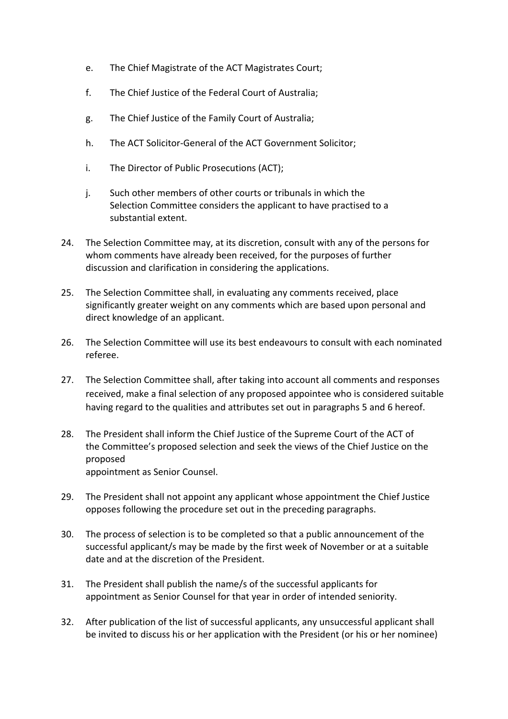- e. The Chief Magistrate of the ACT Magistrates Court;
- f. The Chief Justice of the Federal Court of Australia;
- g. The Chief Justice of the Family Court of Australia;
- h. The ACT Solicitor-General of the ACT Government Solicitor;
- i. The Director of Public Prosecutions (ACT);
- j. Such other members of other courts or tribunals in which the Selection Committee considers the applicant to have practised to a substantial extent.
- 24. The Selection Committee may, at its discretion, consult with any of the persons for whom comments have already been received, for the purposes of further discussion and clarification in considering the applications.
- 25. The Selection Committee shall, in evaluating any comments received, place significantly greater weight on any comments which are based upon personal and direct knowledge of an applicant.
- 26. The Selection Committee will use its best endeavours to consult with each nominated referee.
- 27. The Selection Committee shall, after taking into account all comments and responses received, make a final selection of any proposed appointee who is considered suitable having regard to the qualities and attributes set out in paragraphs 5 and 6 hereof.
- 28. The President shall inform the Chief Justice of the Supreme Court of the ACT of the Committee's proposed selection and seek the views of the Chief Justice on the proposed appointment as Senior Counsel.
- 29. The President shall not appoint any applicant whose appointment the Chief Justice opposes following the procedure set out in the preceding paragraphs.
- 30. The process of selection is to be completed so that a public announcement of the successful applicant/s may be made by the first week of November or at a suitable date and at the discretion of the President.
- 31. The President shall publish the name/s of the successful applicants for appointment as Senior Counsel for that year in order of intended seniority.
- 32. After publication of the list of successful applicants, any unsuccessful applicant shall be invited to discuss his or her application with the President (or his or her nominee)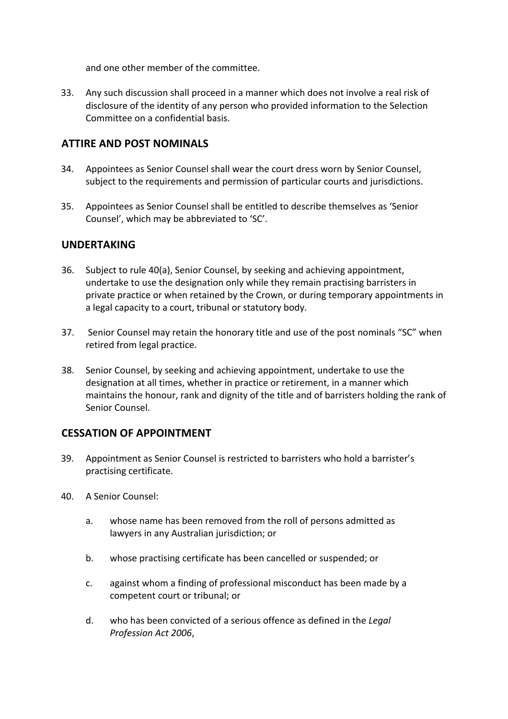and one other member of the committee.

33. Any such discussion shall proceed in a manner which does not involve a real risk of disclosure of the identity of any person who provided information to the Selection Committee on a confidential basis.

# **ATTIRE AND POST NOMINALS**

- 34. Appointees as Senior Counsel shall wear the court dress worn by Senior Counsel, subject to the requirements and permission of particular courts and jurisdictions.
- 35. Appointees as Senior Counsel shall be entitled to describe themselves as 'Senior Counsel', which may be abbreviated to 'SC'.

### **UNDERTAKING**

- 36. Subject to rule 40(a), Senior Counsel, by seeking and achieving appointment, undertake to use the designation only while they remain practising barristers in private practice or when retained by the Crown, or during temporary appointments in a legal capacity to a court, tribunal or statutory body.
- 37. Senior Counsel may retain the honorary title and use of the post nominals "SC" when retired from legal practice.
- 38. Senior Counsel, by seeking and achieving appointment, undertake to use the designation at all times, whether in practice or retirement, in a manner which maintains the honour, rank and dignity of the title and of barristers holding the rank of Senior Counsel.

### **CESSATION OF APPOINTMENT**

- 39. Appointment as Senior Counsel is restricted to barristers who hold a barrister's practising certificate.
- 40. A Senior Counsel:
	- a. whose name has been removed from the roll of persons admitted as lawyers in any Australian jurisdiction; or
	- b. whose practising certificate has been cancelled or suspended; or
	- c. against whom a finding of professional misconduct has been made by a competent court or tribunal; or
	- d. who has been convicted of a serious offence as defined in the *Legal Profession Act 2006*,